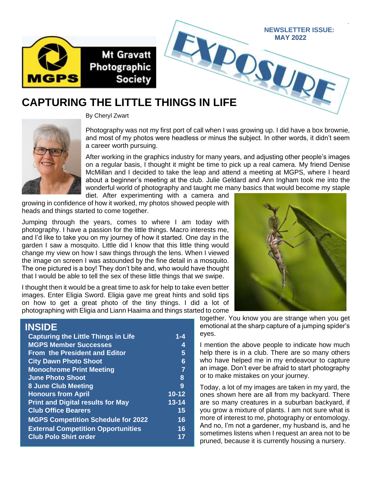

### **CAPTURING THE LITTLE THINGS IN LIFE**



By Cheryl Zwart

Photography was not my first port of call when I was growing up. I did have a box brownie, and most of my photos were headless or minus the subject. In other words, it didn't seem a career worth pursuing.

 $\mathcal{O}_\mathcal{S}$ 

After working in the graphics industry for many years, and adjusting other people's images on a regular basis, I thought it might be time to pick up a real camera. My friend Denise McMillan and I decided to take the leap and attend a meeting at MGPS, where I heard about a beginner's meeting at the club. Julie Geldard and Ann Ingham took me into the wonderful world of photography and taught me many basics that would become my staple

diet. After experimenting with a camera and growing in confidence of how it worked, my photos showed people with heads and things started to come together.

Jumping through the years, comes to where I am today with photography. I have a passion for the little things. Macro interests me, and I'd like to take you on my journey of how it started. One day in the garden I saw a mosquito. Little did I know that this little thing would change my view on how I saw things through the lens. When I viewed the image on screen I was astounded by the fine detail in a mosquito. The one pictured is a boy! They don't bite and, who would have thought that I would be able to tell the sex of these little things that we swipe.

I thought then it would be a great time to ask for help to take even better images. Enter Eligia Sword. Eligia gave me great hints and solid tips on how to get a great photo of the tiny things. I did a lot of photographing with Eligia and Liann Haaima and things started to come

#### **INSIDE**

| <b>Capturing the Little Things in Life</b> | $1 - 4$   |
|--------------------------------------------|-----------|
| <b>MGPS Member Successes</b>               | 4         |
| <b>From the President and Editor</b>       | 5         |
| <b>City Dawn Photo Shoot</b>               | 6         |
| <b>Monochrome Print Meeting</b>            | 7         |
| <b>June Photo Shoot</b>                    | 8         |
| <b>8 June Club Meeting</b>                 | 9         |
| <b>Honours from April</b>                  | $10 - 12$ |
| <b>Print and Digital results for May</b>   | $13 - 14$ |
| <b>Club Office Bearers</b>                 | 15        |
| <b>MGPS Competition Schedule for 2022</b>  | 16        |
| <b>External Competition Opportunities</b>  | 16        |
| <b>Club Polo Shirt order</b>               | 17        |



1

**NEWSLETTER ISSUE: MAY 2022**

 $\boldsymbol{U}$ 

together. You know you are strange when you get emotional at the sharp capture of a jumping spider's eyes.

I mention the above people to indicate how much help there is in a club. There are so many others who have helped me in my endeavour to capture an image. Don't ever be afraid to start photography or to make mistakes on your journey.

Today, a lot of my images are taken in my yard, the ones shown here are all from my backyard. There are so many creatures in a suburban backyard, if you grow a mixture of plants. I am not sure what is more of interest to me, photography or entomology. And no, I'm not a gardener, my husband is, and he sometimes listens when I request an area not to be pruned, because it is currently housing a nursery.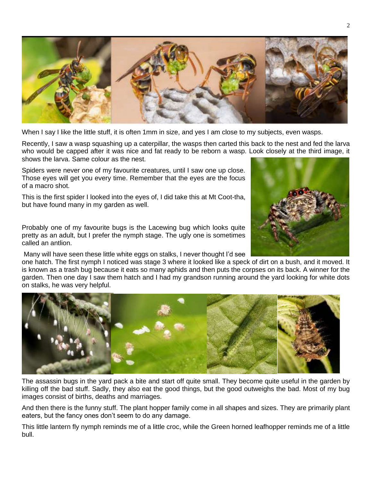

When I say I like the little stuff, it is often 1mm in size, and yes I am close to my subjects, even wasps.

Recently, I saw a wasp squashing up a caterpillar, the wasps then carted this back to the nest and fed the larva who would be capped after it was nice and fat ready to be reborn a wasp. Look closely at the third image, it shows the larva. Same colour as the nest.

Spiders were never one of my favourite creatures, until I saw one up close. Those eyes will get you every time. Remember that the eyes are the focus of a macro shot.

This is the first spider I looked into the eyes of, I did take this at Mt Coot-tha, but have found many in my garden as well.

Probably one of my favourite bugs is the Lacewing bug which looks quite pretty as an adult, but I prefer the nymph stage. The ugly one is sometimes called an antlion.

Many will have seen these little white eggs on stalks, I never thought I'd see

one hatch. The first nymph I noticed was stage 3 where it looked like a speck of dirt on a bush, and it moved. It is known as a trash bug because it eats so many aphids and then puts the corpses on its back. A winner for the garden. Then one day I saw them hatch and I had my grandson running around the yard looking for white dots on stalks, he was very helpful.



The assassin bugs in the yard pack a bite and start off quite small. They become quite useful in the garden by killing off the bad stuff. Sadly, they also eat the good things, but the good outweighs the bad. Most of my bug images consist of births, deaths and marriages.

And then there is the funny stuff. The plant hopper family come in all shapes and sizes. They are primarily plant eaters, but the fancy ones don't seem to do any damage.

This little lantern fly nymph reminds me of a little croc, while the Green horned leafhopper reminds me of a little bull.

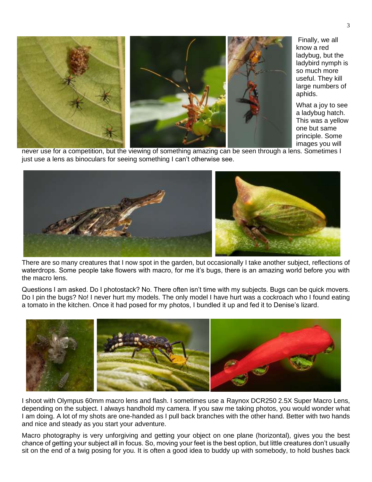

Finally, we all know a red ladybug, but the ladybird nymph is so much more useful. They kill large numbers of aphids.

What a joy to see a ladybug hatch. This was a yellow one but same principle. Some images you will

never use for a competition, but the viewing of something amazing can be seen through a lens. Sometimes I just use a lens as binoculars for seeing something I can't otherwise see.



There are so many creatures that I now spot in the garden, but occasionally I take another subject, reflections of waterdrops. Some people take flowers with macro, for me it's bugs, there is an amazing world before you with the macro lens.

Questions I am asked. Do I photostack? No. There often isn't time with my subjects. Bugs can be quick movers. Do I pin the bugs? No! I never hurt my models. The only model I have hurt was a cockroach who I found eating a tomato in the kitchen. Once it had posed for my photos, I bundled it up and fed it to Denise's lizard.



I shoot with Olympus 60mm macro lens and flash. I sometimes use a Raynox DCR250 2.5X Super Macro Lens, depending on the subject. I always handhold my camera. If you saw me taking photos, you would wonder what I am doing. A lot of my shots are one-handed as I pull back branches with the other hand. Better with two hands and nice and steady as you start your adventure.

Macro photography is very unforgiving and getting your object on one plane (horizontal), gives you the best chance of getting your subject all in focus. So, moving your feet is the best option, but little creatures don't usually sit on the end of a twig posing for you. It is often a good idea to buddy up with somebody, to hold bushes back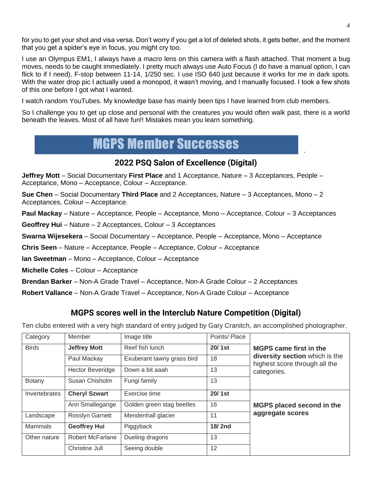for you to get your shot and visa versa. Don't worry if you get a lot of deleted shots, it gets better, and the moment that you get a spider's eye in focus, you might cry too.

I use an Olympus EM1, I always have a macro lens on this camera with a flash attached. That moment a bug moves, needs to be caught immediately. I pretty much always use Auto Focus (I do have a manual option, I can flick to if I need), F-stop between 11-14, 1/250 sec. I use ISO 640 just because it works for me in dark spots. With the water drop pic I actually used a monopod, it wasn't moving, and I manually focused. I took a few shots of this one before I got what I wanted.

I watch random YouTubes. My knowledge base has mainly been tips I have learned from club members.

So I challenge you to get up close and personal with the creatures you would often walk past, there is a world beneath the leaves. Most of all have fun!! Mistakes mean you learn something.

### MGPS Member Successes

#### **2022 PSQ Salon of Excellence (Digital)**

**Jeffrey Mott** – Social Documentary **First Place** and 1 Acceptance, Nature – 3 Acceptances, People – Acceptance, Mono – Acceptance, Colour – Acceptance.

**Sue Chen** – Social Documentary **Third Place** and 2 Acceptances, Nature – 3 Acceptances, Mono – 2 Acceptances, Colour – Acceptance.

**Paul Mackay** – Nature – Acceptance, People – Acceptance, Mono – Acceptance, Colour – 3 Acceptances

**Geoffrey Hui** – Nature – 2 Acceptances, Colour – 3 Acceptances

**Swarna Wijesekera** – Social Documentary – Acceptance, People – Acceptance, Mono – Acceptance

**Chris Seen** – Nature – Acceptance, People – Acceptance, Colour – Acceptance

**Ian Sweetman** – Mono – Acceptance, Colour – Acceptance

**Michelle Coles** – Colour – Acceptance

**Brendan Barker** – Non-A Grade Travel – Acceptance, Non-A Grade Colour – 2 Acceptances

**Robert Vallance** – Non-A Grade Travel – Acceptance, Non-A Grade Colour – Acceptance

#### **MGPS scores well in the Interclub Nature Competition (Digital)**

Ten clubs entered with a very high standard of entry judged by Gary Cranitch, an accomplished photographer.

| Category      | Member                  | Image title                | Points/Place |                                                                 |
|---------------|-------------------------|----------------------------|--------------|-----------------------------------------------------------------|
| <b>Birds</b>  | <b>Jeffrey Mott</b>     | Reef fish lunch            | 20/1st       | <b>MGPS came first in the</b>                                   |
|               | Paul Mackay             | Exuberant tawny grass bird | 18           | diversity section which is the<br>highest score through all the |
|               | <b>Hector Beveridge</b> | Down a bit aaah            | 13           | categories.                                                     |
| Botany        | Susan Chisholm          | Fungi family               | 13           |                                                                 |
| Invertebrates | <b>Cheryl Szwart</b>    | Exercise time              | 20/1st       |                                                                 |
|               | Ann Smallegange         | Golden green stag beetles  | 16           | MGPS placed second in the                                       |
| Landscape     | <b>Rosslyn Garnett</b>  | Mendenhall glacier         | 11           | aggregate scores                                                |
| Mammals       | <b>Geoffrey Hui</b>     | Piggyback                  | 18/2nd       |                                                                 |
| Other nature  | <b>Robert McFarlane</b> | Dueling dragons            | 13           |                                                                 |
|               | Christine Jull          | Seeing double              | 12           |                                                                 |

.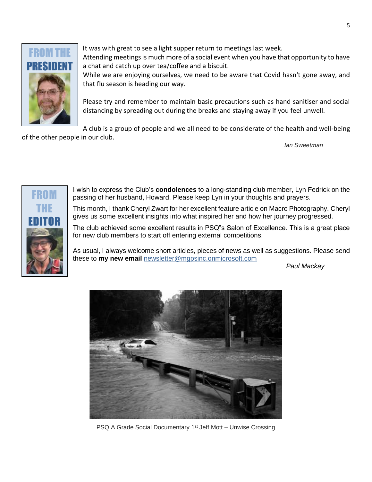

**I**t was with great to see a light supper return to meetings last week. Attending meetings is much more of a social event when you have that opportunity to have a chat and catch up over tea/coffee and a biscuit. While we are enjoying ourselves, we need to be aware that Covid hasn't gone away, and

that flu season is heading our way.

Please try and remember to maintain basic precautions such as hand sanitiser and social distancing by spreading out during the breaks and staying away if you feel unwell.

A club is a group of people and we all need to be considerate of the health and well-being of the other people in our club.

*Ian Sweetman*



I wish to express the Club's **condolences** to a long-standing club member, Lyn Fedrick on the passing of her husband, Howard. Please keep Lyn in your thoughts and prayers.

This month, I thank Cheryl Zwart for her excellent feature article on Macro Photography. Cheryl gives us some excellent insights into what inspired her and how her journey progressed.

The club achieved some excellent results in PSQ"s Salon of Excellence. This is a great place for new club members to start off entering external competitions.

As usual, I always welcome short articles, pieces of news as well as suggestions. Please send these to **my new email** [newsletter@mgpsinc.onmicrosoft.com](mailto:newsletter@mgpsinc.onmicrosoft.com)

*Paul Mackay*



PSQ A Grade Social Documentary 1<sup>st</sup> Jeff Mott – Unwise Crossing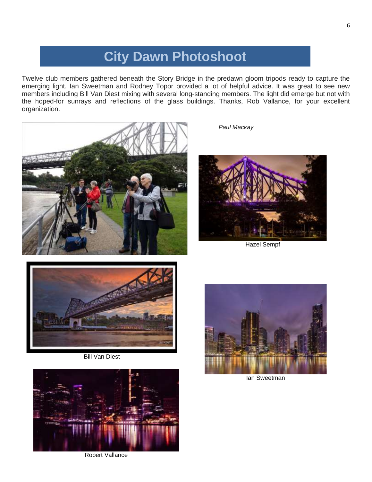### **City Dawn Photoshoot**

Twelve club members gathered beneath the Story Bridge in the predawn gloom tripods ready to capture the emerging light. Ian Sweetman and Rodney Topor provided a lot of helpful advice. It was great to see new members including Bill Van Diest mixing with several long-standing members. The light did emerge but not with the hoped-for sunrays and reflections of the glass buildings. Thanks, Rob Vallance, for your excellent organization.



*Paul Mackay*



Hazel Sempf



Bill Van Diest



Robert Vallance



Ian Sweetman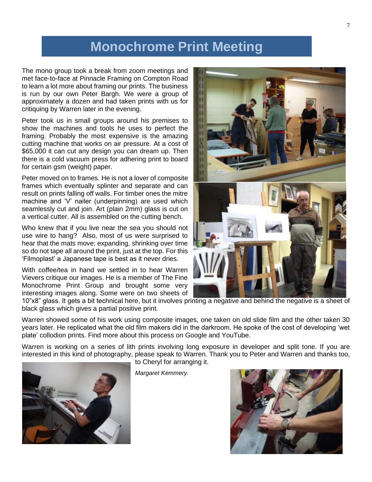### **Monochrome Print Meeting**

The mono group took a break from zoom meetings and met face-to-face at Pinnacle Framing on Compton Road to learn a lot more about framing our prints. The business is run by our own Peter Bargh. We were a group of approximately a dozen and had taken prints with us for critiquing by Warren later in the evening.

Peter took us in small groups around his premises to show the machines and tools he uses to perfect the framing. Probably the most expensive is the amazing cutting machine that works on air pressure. At a cost of \$65,000 it can cut any design you can dream up. Then there is a cold vacuum press for adhering print to board for certain gsm (weight) paper.

Peter moved on to frames. He is not a lover of composite frames which eventually splinter and separate and can result on prints falling off walls. For timber ones the mitre machine and 'V' nailer (underpinning) are used which seamlessly cut and join. Art (plain 2mm) glass is cut on a vertical cutter. All is assembled on the cutting bench.

Who knew that if you live near the sea you should not use wire to hang? Also, most of us were surprised to hear that the mats move; expanding, shrinking over time so do not tape all around the print, just at the top. For this 'Filmoplast' a Japanese tape is best as it never dries.

With coffee/tea in hand we settled in to hear Warren Vievers critique our images. He is a member of The Fine Monochrome Print Group and brought some very interesting images along. Some were on two sheets of



10"x8" glass. It gets a bit technical here, but it involves printing a negative and behind the negative is a sheet of black glass which gives a partial positive print.

Warren showed some of his work using composite images, one taken on old slide film and the other taken 30 years later. He replicated what the old film makers did in the darkroom. He spoke of the cost of developing 'wet plate' collodion prints. Find more about this process on Google and YouTube.

Warren is working on a series of lith prints involving long exposure in developer and split tone. If you are interested in this kind of photography, please speak to Warren. Thank you to Peter and Warren and thanks too, to Cheryl for arranging it.



*Margaret Kemmery.*

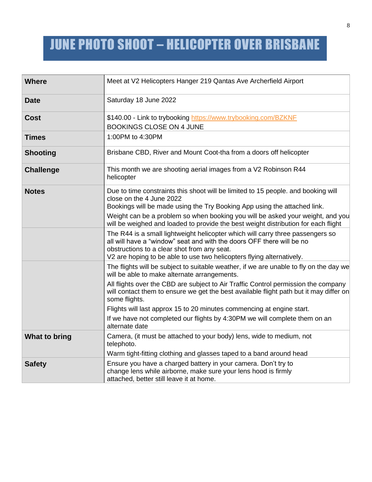# JUNE PHOTO SHOOT – HELICOPTER OVER BRISBANE

| <b>Where</b>     | Meet at V2 Helicopters Hanger 219 Qantas Ave Archerfield Airport                                                                                                                                                                                                                |
|------------------|---------------------------------------------------------------------------------------------------------------------------------------------------------------------------------------------------------------------------------------------------------------------------------|
| <b>Date</b>      | Saturday 18 June 2022                                                                                                                                                                                                                                                           |
| <b>Cost</b>      | \$140.00 - Link to trybooking https://www.trybooking.com/BZKNF<br><b>BOOKINGS CLOSE ON 4 JUNE</b>                                                                                                                                                                               |
| <b>Times</b>     | 1:00PM to 4:30PM                                                                                                                                                                                                                                                                |
| <b>Shooting</b>  | Brisbane CBD, River and Mount Coot-tha from a doors off helicopter                                                                                                                                                                                                              |
| <b>Challenge</b> | This month we are shooting aerial images from a V2 Robinson R44<br>helicopter                                                                                                                                                                                                   |
| <b>Notes</b>     | Due to time constraints this shoot will be limited to 15 people. and booking will<br>close on the 4 June 2022<br>Bookings will be made using the Try Booking App using the attached link.                                                                                       |
|                  | Weight can be a problem so when booking you will be asked your weight, and you<br>will be weighed and loaded to provide the best weight distribution for each flight                                                                                                            |
|                  | The R44 is a small lightweight helicopter which will carry three passengers so<br>all will have a "window" seat and with the doors OFF there will be no<br>obstructions to a clear shot from any seat.<br>V2 are hoping to be able to use two helicopters flying alternatively. |
|                  | The flights will be subject to suitable weather, if we are unable to fly on the day we<br>will be able to make alternate arrangements.                                                                                                                                          |
|                  | All flights over the CBD are subject to Air Traffic Control permission the company<br>will contact them to ensure we get the best available flight path but it may differ on<br>some flights.                                                                                   |
|                  | Flights will last approx 15 to 20 minutes commencing at engine start.                                                                                                                                                                                                           |
|                  | If we have not completed our flights by 4:30PM we will complete them on an<br>alternate date                                                                                                                                                                                    |
| What to bring    | Camera, (it must be attached to your body) lens, wide to medium, not<br>telephoto.                                                                                                                                                                                              |
|                  | Warm tight-fitting clothing and glasses taped to a band around head                                                                                                                                                                                                             |
| <b>Safety</b>    | Ensure you have a charged battery in your camera. Don't try to<br>change lens while airborne, make sure your lens hood is firmly                                                                                                                                                |
|                  | attached, better still leave it at home.                                                                                                                                                                                                                                        |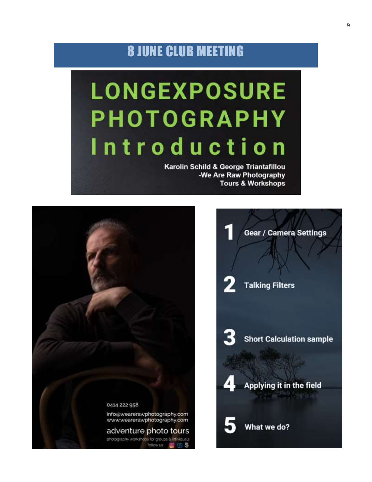### 8 JUNE CLUB MEETING

# **LONGEXPOSURE PHOTOGRAPHY** Introduction

Karolin Schild & George Triantafillou -We Are Raw Photography **Tours & Workshops** 

1

2

3

5



**Gear / Camera Settings** 

**Talking Filters** 

**Short Calculation sample** 

Applying it in the field

What we do?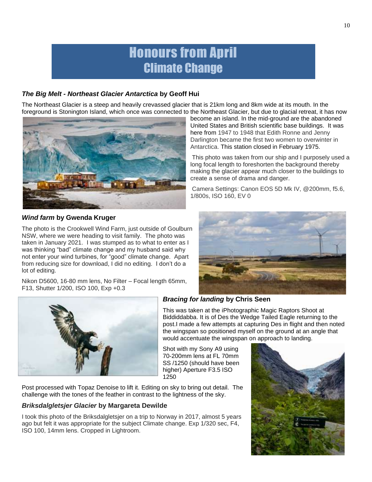### Honours from April Climate Change

#### *The Big Melt - Northeast Glacier Antarctica* **by Geoff Hui**

The Northeast Glacier is a steep and heavily crevassed glacier that is 21km long and 8km wide at its mouth. In the foreground is Stonington Island, which once was connected to the Northeast Glacier, but due to glacial retreat, it has now



This photo was taken from our ship and I purposely used a long focal length to foreshorten the background thereby making the glacier appear much closer to the buildings to create a sense of drama and danger.

Camera Settings: Canon EOS 5D Mk IV, @200mm, f5.6, 1/800s, ISO 160, EV 0



The photo is the Crookwell Wind Farm, just outside of Goulburn NSW, where we were heading to visit family. The photo was taken in January 2021. I was stumped as to what to enter as I was thinking "bad" climate change and my husband said why not enter your wind turbines, for "good" climate change. Apart from reducing size for download, I did no editing. I don't do a lot of editing.

Nikon D5600, 16-80 mm lens, No Filter – Focal length 65mm, F13, Shutter 1/200, ISO 100, Exp +0.3





Post processed with Topaz Denoise to lift it. Editing on sky to bring out detail. The challenge with the tones of the feather in contrast to the lightness of the sky.

#### *Briksdalgletsjer Glacier* **by Margareta Dewilde**

I took this photo of the Briksdalgletsjer on a trip to Norway in 2017, almost 5 years ago but felt it was appropriate for the subject Climate change. Exp 1/320 sec, F4, ISO 100, 14mm lens. Cropped in Lightroom.

### *Bracing for landing* **by Chris Seen**

This was taken at the iPhotographic Magic Raptors Shoot at Biddiddabba. It is of Des the Wedge Tailed Eagle returning to the post.I made a few attempts at capturing Des in flight and then noted the wingspan so positioned myself on the ground at an angle that would accentuate the wingspan on approach to landing.

Shot with my Sony A9 using 70-200mm lens at FL 70mm SS /1250 (should have been higher) Aperture F3.5 ISO 1250

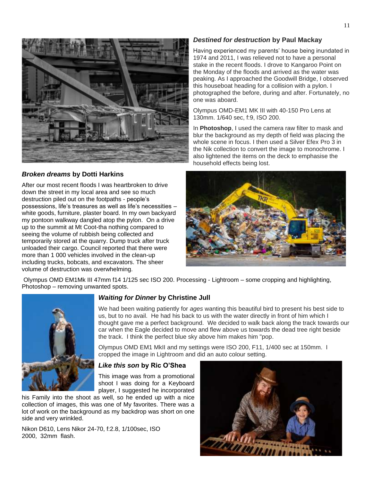

#### *Broken dreams* **by Dotti Harkins**

After our most recent floods I was heartbroken to drive down the street in my local area and see so much destruction piled out on the footpaths - people's possessions, life's treasures as well as life's necessities – white goods, furniture, plaster board. In my own backyard my pontoon walkway dangled atop the pylon. On a drive up to the summit at Mt Coot-tha nothing compared to seeing the volume of rubbish being collected and temporarily stored at the quarry. Dump truck after truck unloaded their cargo. Council reported that there were more than 1 000 vehicles involved in the clean-up including trucks, bobcats, and excavators. The sheer volume of destruction was overwhelming.

#### *Destined for destruction* **by Paul Mackay**

Having experienced my parents' house being inundated in 1974 and 2011, I was relieved not to have a personal stake in the recent floods. I drove to Kangaroo Point on the Monday of the floods and arrived as the water was peaking. As I approached the Goodwill Bridge, I observed this houseboat heading for a collision with a pylon. I photographed the before, during and after. Fortunately, no one was aboard.

Olympus OMD-EM1 MK III with 40-150 Pro Lens at 130mm. 1/640 sec, f:9, ISO 200.

In **Photoshop**, I used the camera raw filter to mask and blur the background as my depth of field was placing the whole scene in focus. I then used a Silver Efex Pro 3 in the Nik collection to convert the image to monochrome. I also lightened the items on the deck to emphasise the household effects being lost.



Olympus OMD EM1Mk III 47mm f14 1/125 sec ISO 200. Processing - Lightroom – some cropping and highlighting, Photoshop – removing unwanted spots.



#### *Waiting for Dinner* **by Christine Jull**

We had been waiting patiently for *ages* wanting this beautiful bird to present his best side to us, but to no avail. He had his back to us with the water directly in front of him which I thought gave me a perfect background. We decided to walk back along the track towards our car when the Eagle decided to move and flew above us towards the dead tree right beside the track. I think the perfect blue sky above him makes him "pop.

Olympus OMD EM1 MkII and my settings were ISO 200, F11, 1/400 sec at 150mm. I cropped the image in Lightroom and did an auto colour setting.

#### *Like this son* **by Ric O'Shea**

This image was from a promotional shoot I was doing for a Keyboard player, I suggested he incorporated

his Family into the shoot as well, so he ended up with a nice collection of images, this was one of My favorites. There was a lot of work on the background as my backdrop was short on one side and very wrinkled.

Nikon D610, Lens Nikor 24-70, f:2.8, 1/100sec, ISO 2000, 32mm flash.

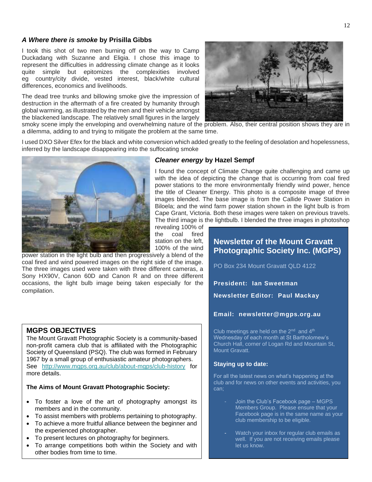#### *A Where there is smoke* **by Prisilla Gibbs**

I took this shot of two men burning off on the way to Camp Duckadang with Suzanne and Eligia. I chose this image to represent the difficulties in addressing climate change as it looks quite simple but epitomizes the complexities involved eg country/city divide, vested interest, black/white cultural differences, economics and livelihoods.

The dead tree trunks and billowing smoke give the impression of destruction in the aftermath of a fire created by humanity through global warming, as illustrated by the men and their vehicle amongst the blackened landscape. The relatively small figures in the largely



smoky scene imply the enveloping and overwhelming nature of the problem. Also, their central position shows they are in a dilemma, adding to and trying to mitigate the problem at the same time.

I used DXO Silver Efex for the black and white conversion which added greatly to the feeling of desolation and hopelessness, inferred by the landscape disappearing into the suffocating smoke



#### *Cleaner energy* **by Hazel Sempf**

I found the concept of Climate Change quite challenging and came up with the idea of depicting the change that is occurring from coal fired power stations to the more environmentally friendly wind power, hence the title of Cleaner Energy. This photo is a composite image of three images blended. The base image is from the Callide Power Station in Biloela; and the wind farm power station shown in the light bulb is from Cape Grant, Victoria. Both these images were taken on previous travels. The third image is the lightbulb. I blended the three images in photoshop

revealing 100% of the coal fired station on the left, 100% of the wind

power station in the light bulb and then progressively a blend of the coal fired and wind powered images on the right side of the image. The three images used were taken with three different cameras, a Sony HX90V, Canon 60D and Canon R and on three different occasions, the light bulb image being taken especially for the compilation.

#### **MGPS OBJECTIVES**

The Mount Gravatt Photographic Society is a community-based non-profit camera club that is affiliated with the Photographic Society of Queensland (PSQ). The club was formed in February 1967 by a small group of enthusiastic amateur photographers. See <http://www.mgps.org.au/club/about-mgps/club-history> for more details.

#### **The Aims of Mount Gravatt Photographic Society:**

- To foster a love of the art of photography amongst its members and in the community.
- To assist members with problems pertaining to photography.
- To achieve a more fruitful alliance between the beginner and the experienced photographer.
- To present lectures on photography for beginners.
- To arrange competitions both within the Society and with other bodies from time to time.

#### **Newsletter of the Mount Gravatt Photographic Society Inc. (MGPS)**

PO Box 234 Mount Gravatt QLD 4122

**President: Ian Sweetman**

**Newsletter Editor: Paul Mackay** 

#### **Email: newsletter@mgps.org.au**

Club meetings are held on the  $2<sup>nd</sup>$  and  $4<sup>th</sup>$ Wednesday of each month at St Bartholomew's Church Hall, corner of Logan Rd and Mountain St, Mount Gravatt.

#### **Staying up to date:**

For all the latest news on what's happening at the club and for news on other events and activities, you can;

- Join the Club's Facebook page MGPS Members Group. Please ensure that your Facebook page is in the same name as your club membership to be eligible.
- Watch your inbox for regular club emails as well. If you are not receiving emails please let us know.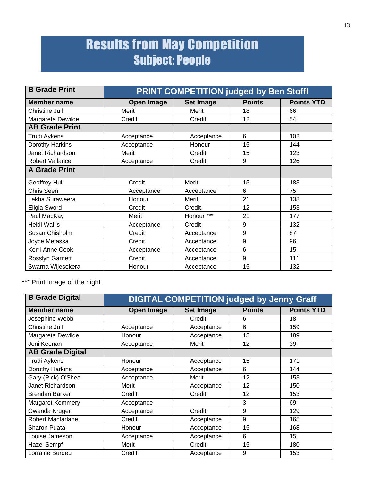### Results from May Competition Subject: People

| <b>B</b> Grade Print  | <b>PRINT COMPETITION judged by Ben Stoffl</b> |            |               |                   |  |  |  |  |  |
|-----------------------|-----------------------------------------------|------------|---------------|-------------------|--|--|--|--|--|
| <b>Member name</b>    | <b>Open Image</b>                             | Set Image  | <b>Points</b> | <b>Points YTD</b> |  |  |  |  |  |
| <b>Christine Jull</b> | Merit                                         | Merit      | 18            | 66                |  |  |  |  |  |
| Margareta Dewilde     | Credit                                        | Credit     | 12            | 54                |  |  |  |  |  |
| <b>AB Grade Print</b> |                                               |            |               |                   |  |  |  |  |  |
| Trudi Aykens          | Acceptance                                    | Acceptance | 6             | 102               |  |  |  |  |  |
| Dorothy Harkins       | Acceptance                                    | Honour     | 15            | 144               |  |  |  |  |  |
| Janet Richardson      | Merit                                         | Credit     | 15            | 123               |  |  |  |  |  |
| Robert Vallance       | Acceptance                                    | Credit     |               | 126               |  |  |  |  |  |
| <b>A Grade Print</b>  |                                               |            |               |                   |  |  |  |  |  |
| Geoffrey Hui          | Credit                                        | Merit      | 15            | 183               |  |  |  |  |  |
| Chris Seen            | Acceptance                                    | Acceptance | 6             | 75                |  |  |  |  |  |
| Lekha Suraweera       | Honour                                        | Merit      | 21            | 138               |  |  |  |  |  |
| Eligia Sword          | Credit                                        | Credit     | 12            | 153               |  |  |  |  |  |
| Paul MacKay           | Merit                                         | Honour *** | 21            | 177               |  |  |  |  |  |
| <b>Heidi Wallis</b>   | Acceptance                                    | Credit     | 9             | 132               |  |  |  |  |  |
| Susan Chisholm        | Credit                                        | Acceptance | 9             | 87                |  |  |  |  |  |
| Joyce Metassa         | Credit                                        | Acceptance | 9             | 96                |  |  |  |  |  |
| Kerri-Anne Cook       | Acceptance                                    | Acceptance | 6             | 15                |  |  |  |  |  |
| Rosslyn Garnett       | Credit                                        | Acceptance | 9             | 111               |  |  |  |  |  |
| Swarna Wijesekera     | Honour                                        | Acceptance | 15            | 132               |  |  |  |  |  |

\*\*\* Print Image of the night

| <b>B Grade Digital</b>  | <b>DIGITAL COMPETITION judged by Jenny Graff</b> |                  |               |                   |  |  |  |  |  |
|-------------------------|--------------------------------------------------|------------------|---------------|-------------------|--|--|--|--|--|
| <b>Member name</b>      | <b>Open Image</b>                                | <b>Set Image</b> | <b>Points</b> | <b>Points YTD</b> |  |  |  |  |  |
| Josephine Webb          |                                                  | Credit           | 6             | 18                |  |  |  |  |  |
| <b>Christine Jull</b>   | Acceptance                                       | Acceptance       | 6             | 159               |  |  |  |  |  |
| Margareta Dewilde       | Honour                                           | Acceptance       | 15            | 189               |  |  |  |  |  |
| Joni Keenan             | Acceptance                                       | Merit            | 12            | 39                |  |  |  |  |  |
| <b>AB Grade Digital</b> |                                                  |                  |               |                   |  |  |  |  |  |
| Trudi Aykens            | Honour                                           | Acceptance       | 15            | 171               |  |  |  |  |  |
| Dorothy Harkins         | Acceptance                                       | Acceptance       | 6             | 144               |  |  |  |  |  |
| Gary (Rick) O'Shea      | Acceptance                                       | Merit            | 12            | 153               |  |  |  |  |  |
| Janet Richardson        | Merit                                            | Acceptance       | 12            | 150               |  |  |  |  |  |
| <b>Brendan Barker</b>   | Credit                                           | Credit           | 12            | 153               |  |  |  |  |  |
| Margaret Kemmery        | Acceptance                                       |                  | 3             | 69                |  |  |  |  |  |
| Gwenda Kruger           | Acceptance                                       | Credit           | 9             | 129               |  |  |  |  |  |
| Robert Macfarlane       | Credit                                           | Acceptance       | 9             | 165               |  |  |  |  |  |
| Sharon Puata            | Honour                                           | Acceptance       | 15            | 168               |  |  |  |  |  |
| Louise Jameson          | Acceptance                                       | Acceptance       | 6             | 15                |  |  |  |  |  |
| <b>Hazel Sempf</b>      | Merit                                            | Credit           | 15            | 180               |  |  |  |  |  |
| Lorraine Burdeu         | Credit                                           | Acceptance       | 9             | 153               |  |  |  |  |  |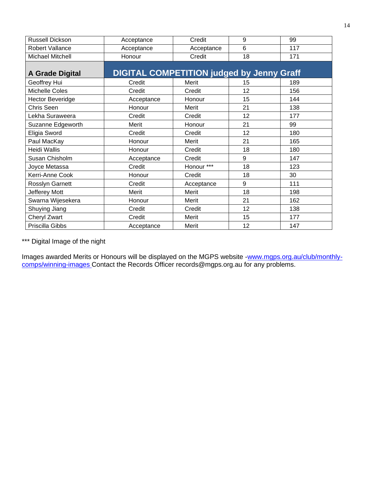| Russell Dickson         | Acceptance                                       | Credit     | 9  | 99  |
|-------------------------|--------------------------------------------------|------------|----|-----|
| Robert Vallance         | Acceptance                                       | Acceptance | 6  | 117 |
| <b>Michael Mitchell</b> | Honour                                           | Credit     | 18 | 171 |
| <b>A Grade Digital</b>  | <b>DIGITAL COMPETITION judged by Jenny Graff</b> |            |    |     |
| Geoffrey Hui            | Credit                                           | Merit      | 15 | 189 |
| Michelle Coles          | Credit                                           | Credit     | 12 | 156 |
| <b>Hector Beveridge</b> | Acceptance                                       | Honour     | 15 | 144 |
| Chris Seen              | Honour                                           | Merit      | 21 | 138 |
| Lekha Suraweera         | Credit                                           | Credit     | 12 | 177 |
| Suzanne Edgeworth       | Merit                                            | Honour     | 21 | 99  |
| Eligia Sword            | Credit                                           | Credit     | 12 | 180 |
| Paul MacKay             | Honour                                           | Merit      | 21 | 165 |
| Heidi Wallis            | Honour                                           | Credit     | 18 | 180 |
| Susan Chisholm          | Acceptance                                       | Credit     | 9  | 147 |
| Joyce Metassa           | Credit                                           | Honour *** | 18 | 123 |
| Kerri-Anne Cook         | Honour                                           | Credit     | 18 | 30  |
| Rosslyn Garnett         | Credit                                           | Acceptance | 9  | 111 |
| Jefferey Mott           | Merit                                            | Merit      | 18 | 198 |
| Swarna Wijesekera       | Honour                                           | Merit      | 21 | 162 |
| Shuying Jiang           | Credit                                           | Credit     | 12 | 138 |
| Cheryl Zwart            | Credit                                           | Merit      | 15 | 177 |
| Priscilla Gibbs         | Acceptance                                       | Merit      | 12 | 147 |

\*\*\* Digital Image of the night

Images awarded Merits or Honours will be displayed on the MGPS website [-www.mgps.org.au/club/monthly](http://www.mgps.org.au/club/monthly-comps/winning-images)[comps/winning-images](http://www.mgps.org.au/club/monthly-comps/winning-images) Contact the Records Officer [records@mgps.org.au](mailto:records@mgps.org.au) for any problems.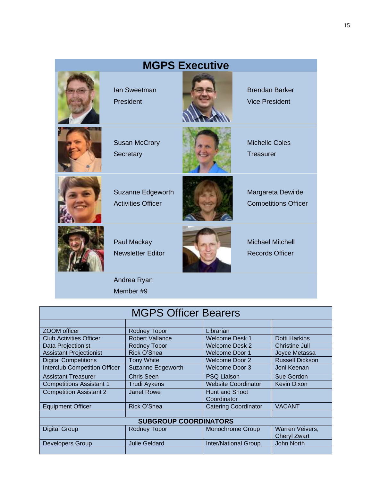|                                                | <b>MGPS Executive</b> |                                                   |
|------------------------------------------------|-----------------------|---------------------------------------------------|
| <b>lan Sweetman</b><br>President               |                       | <b>Brendan Barker</b><br><b>Vice President</b>    |
| <b>Susan McCrory</b><br>Secretary              |                       | <b>Michelle Coles</b><br><b>Treasurer</b>         |
| Suzanne Edgeworth<br><b>Activities Officer</b> |                       | Margareta Dewilde<br><b>Competitions Officer</b>  |
| Paul Mackay<br><b>Newsletter Editor</b>        |                       | <b>Michael Mitchell</b><br><b>Records Officer</b> |
| Andrea Ryan<br>Member #9                       |                       |                                                   |

| <b>MGPS Officer Bearers</b>          |                              |                               |                                        |  |  |  |  |
|--------------------------------------|------------------------------|-------------------------------|----------------------------------------|--|--|--|--|
|                                      |                              |                               |                                        |  |  |  |  |
| ZOOM officer                         | Rodney Topor                 | Librarian                     |                                        |  |  |  |  |
| <b>Club Activities Officer</b>       | <b>Robert Vallance</b>       | Welcome Desk 1                | <b>Dotti Harkins</b>                   |  |  |  |  |
| Data Projectionist                   | Rodney Topor                 | Welcome Desk 2                | <b>Christine Jull</b>                  |  |  |  |  |
| <b>Assistant Projectionist</b>       | Rick O'Shea                  | <b>Welcome Door 1</b>         | Joyce Metassa                          |  |  |  |  |
| <b>Digital Competitions</b>          | <b>Tony White</b>            | <b>Welcome Door 2</b>         | <b>Russell Dickson</b>                 |  |  |  |  |
| <b>Interclub Competition Officer</b> | Suzanne Edgeworth            | Welcome Door 3                | Joni Keenan                            |  |  |  |  |
| <b>Assistant Treasurer</b>           | <b>Chris Seen</b>            | <b>PSQ Liaison</b>            | Sue Gordon                             |  |  |  |  |
| <b>Competitions Assistant 1</b>      | Trudi Aykens                 | <b>Website Coordinator</b>    | Kevin Dixon                            |  |  |  |  |
| <b>Competition Assistant 2</b>       | Janet Rowe                   | Hunt and Shoot<br>Coordinator |                                        |  |  |  |  |
| <b>Equipment Officer</b>             | Rick O'Shea                  | <b>Catering Coordinator</b>   | <b>VACANT</b>                          |  |  |  |  |
|                                      |                              |                               |                                        |  |  |  |  |
|                                      | <b>SUBGROUP COORDINATORS</b> |                               |                                        |  |  |  |  |
| <b>Digital Group</b>                 | Rodney Topor                 | Monochrome Group              | Warren Veivers,<br><b>Cheryl Zwart</b> |  |  |  |  |
| <b>Developers Group</b>              | <b>Julie Geldard</b>         | <b>Inter/National Group</b>   | <b>John North</b>                      |  |  |  |  |
|                                      |                              |                               |                                        |  |  |  |  |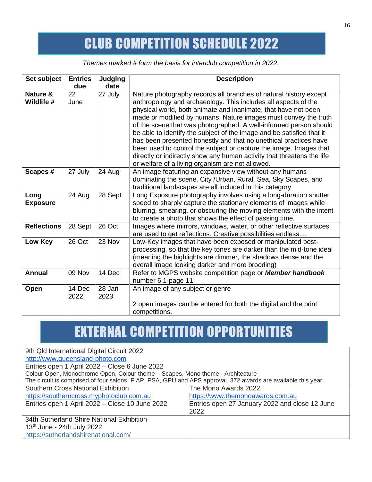## CLUB COMPETITION SCHEDULE 2022

*Themes marked # form the basis for interclub competition in 2022.*

| Set subject             | <b>Entries</b> | <b>Judging</b> | <b>Description</b>                                                                                                                                                                                                                                                                                                                                                                                                                                                                                                                                                                                                                                                                             |
|-------------------------|----------------|----------------|------------------------------------------------------------------------------------------------------------------------------------------------------------------------------------------------------------------------------------------------------------------------------------------------------------------------------------------------------------------------------------------------------------------------------------------------------------------------------------------------------------------------------------------------------------------------------------------------------------------------------------------------------------------------------------------------|
|                         | due            | date           |                                                                                                                                                                                                                                                                                                                                                                                                                                                                                                                                                                                                                                                                                                |
| Nature &<br>Wildlife #  | 22<br>June     | 27 July        | Nature photography records all branches of natural history except<br>anthropology and archaeology. This includes all aspects of the<br>physical world, both animate and inanimate, that have not been<br>made or modified by humans. Nature images must convey the truth<br>of the scene that was photographed. A well-informed person should<br>be able to identify the subject of the image and be satisfied that it<br>has been presented honestly and that no unethical practices have<br>been used to control the subject or capture the image. Images that<br>directly or indirectly show any human activity that threatens the life<br>or welfare of a living organism are not allowed. |
| Scapes #                | 27 July        | 24 Aug         | An image featuring an expansive view without any humans<br>dominating the scene. City /Urban, Rural, Sea, Sky Scapes, and<br>traditional landscapes are all included in this category                                                                                                                                                                                                                                                                                                                                                                                                                                                                                                          |
| Long<br><b>Exposure</b> | 24 Aug         | 28 Sept        | Long Exposure photography involves using a long-duration shutter<br>speed to sharply capture the stationary elements of images while<br>blurring, smearing, or obscuring the moving elements with the intent<br>to create a photo that shows the effect of passing time.                                                                                                                                                                                                                                                                                                                                                                                                                       |
| <b>Reflections</b>      | 28 Sept        | 26 Oct         | Images where mirrors, windows, water, or other reflective surfaces<br>are used to get reflections. Creative possibilities endless                                                                                                                                                                                                                                                                                                                                                                                                                                                                                                                                                              |
| Low Key                 | 26 Oct         | 23 Nov         | Low-Key images that have been exposed or manipulated post-<br>processing, so that the key tones are darker than the mid-tone ideal<br>(meaning the highlights are dimmer, the shadows dense and the<br>overall image looking darker and more brooding)                                                                                                                                                                                                                                                                                                                                                                                                                                         |
| <b>Annual</b>           | 09 Nov         | 14 Dec         | Refer to MGPS website competition page or <b>Member handbook</b><br>number 6.1-page 11                                                                                                                                                                                                                                                                                                                                                                                                                                                                                                                                                                                                         |
| Open                    | 14 Dec<br>2022 | 28 Jan<br>2023 | An image of any subject or genre<br>2 open images can be entered for both the digital and the print<br>competitions.                                                                                                                                                                                                                                                                                                                                                                                                                                                                                                                                                                           |

# EXTERNAL COMPETITION OPPORTUNITIES

| 9th Qld International Digital Circuit 2022                                                                    |                                                |
|---------------------------------------------------------------------------------------------------------------|------------------------------------------------|
| http://www.queensland-photo.com                                                                               |                                                |
| Entries open 1 April 2022 - Close 6 June 2022                                                                 |                                                |
| Colour Open, Monochrome Open, Colour theme - Scapes, Mono theme - Architecture                                |                                                |
| The circuit is comprised of four salons. FIAP, PSA, GPU and APS approval. 372 awards are available this year. |                                                |
| Southern Cross National Exhibition                                                                            | The Mono Awards 2022                           |
| https://southerncross.myphotoclub.com.au                                                                      | https://www.themonoawards.com.au               |
| Entries open 1 April 2022 - Close 10 June 2022                                                                | Entries open 27 January 2022 and close 12 June |
|                                                                                                               | 2022                                           |
| 34th Sutherland Shire National Exhibition                                                                     |                                                |
| 13 <sup>th</sup> June - 24th July 2022                                                                        |                                                |
| https://sutherlandshirenational.com/                                                                          |                                                |